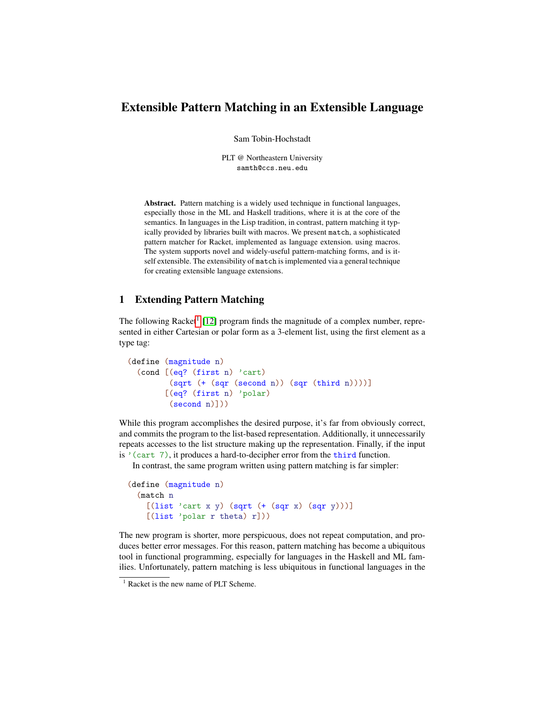# Extensible Pattern Matching in an Extensible Language

Sam Tobin-Hochstadt

PLT @ Northeastern University samth@ccs.neu.edu

Abstract. Pattern matching is a widely used technique in functional languages, especially those in the ML and Haskell traditions, where it is at the core of the semantics. In languages in the Lisp tradition, in contrast, pattern matching it typically provided by libraries built with macros. We present match, a sophisticated pattern matcher for Racket, implemented as language extension. using macros. The system supports novel and widely-useful pattern-matching forms, and is itself extensible. The extensibility of match is implemented via a general technique for creating extensible language extensions.

## 1 Extending Pattern Matching

The following Racket<sup>[1](#page-0-0)</sup> [\[12\]](#page-14-0) program finds the magnitude of a complex number, represented in either Cartesian or polar form as a 3-element list, using the first element as a type tag:

```
(define (magnitude n)
  (cond [(eq? (first n) 'cart)
         (sqrt (+ (sqr (second n)) (sqr (third n))))]
        [(eq? (first n) 'polar)
         (second n)]))
```
While this program accomplishes the desired purpose, it's far from obviously correct, and commits the program to the list-based representation. Additionally, it unnecessarily repeats accesses to the list structure making up the representation. Finally, if the input is '(cart 7), it produces a hard-to-decipher error from the third function.

In contrast, the same program written using pattern matching is far simpler:

```
(define (magnitude n)
  (match n
    [(list 'cart x y) (sqrt (+ (sqrt x) (sqrt y))))][(list 'polar r theta) r]))
```
The new program is shorter, more perspicuous, does not repeat computation, and produces better error messages. For this reason, pattern matching has become a ubiquitous tool in functional programming, especially for languages in the Haskell and ML families. Unfortunately, pattern matching is less ubiquitous in functional languages in the

<span id="page-0-0"></span><sup>&</sup>lt;sup>1</sup> Racket is the new name of PLT Scheme.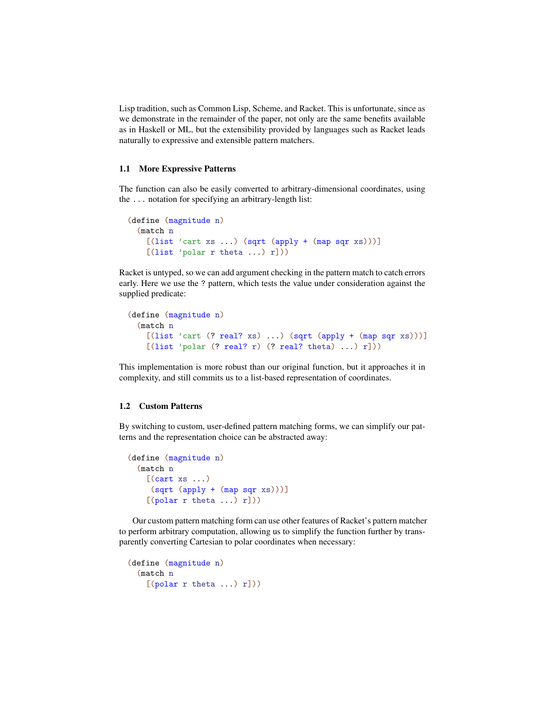Lisp tradition, such as Common Lisp, Scheme, and Racket. This is unfortunate, since as we demonstrate in the remainder of the paper, not only are the same benefits available as in Haskell or ML, but the extensibility provided by languages such as Racket leads naturally to expressive and extensible pattern matchers.

### 1.1 More Expressive Patterns

The function can also be easily converted to arbitrary-dimensional coordinates, using the ... notation for specifying an arbitrary-length list:

```
(define (magnitude n)
  (match n
    [(\text{list 'cart xs ...}) (\text{sqrt (apply + (map sqrt xs))))}][(list 'polar r theta ... ) r]))
```
Racket is untyped, so we can add argument checking in the pattern match to catch errors early. Here we use the ? pattern, which tests the value under consideration against the supplied predicate:

```
(define (magnitude n)
  (match n
   [(list 'cart (? real? xs) ...) (sqrt (apply + (map sqrt xs)))][(list 'polar (? real? r) (? real? theta) ... ) r]))
```
This implementation is more robust than our original function, but it approaches it in complexity, and still commits us to a list-based representation of coordinates.

### 1.2 Custom Patterns

By switching to custom, user-defined pattern matching forms, we can simplify our patterns and the representation choice can be abstracted away:

```
(define (magnitude n)
  (match n
   [(cart xs ...)](sqrt (apply + (map sqr xs)))]
    [(polar r theta ... r])
```
Our custom pattern matching form can use other features of Racket's pattern matcher to perform arbitrary computation, allowing us to simplify the function further by transparently converting Cartesian to polar coordinates when necessary:

```
(define (magnitude n)
 (match n
   [(polar r theta ... r])
```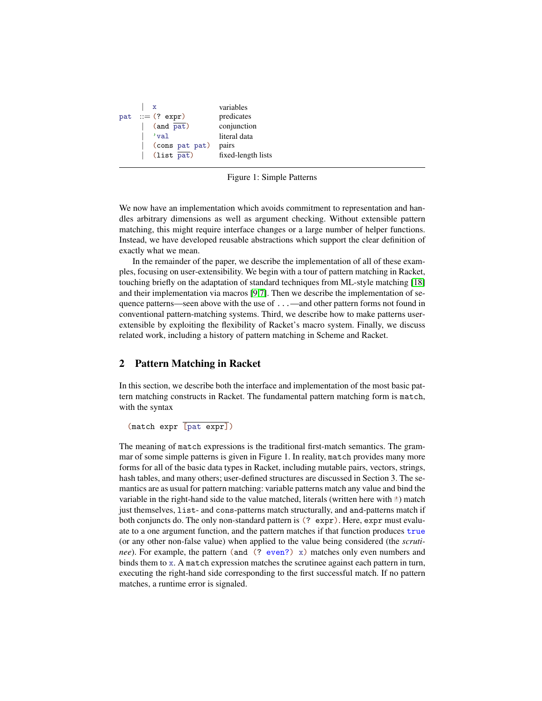| $\mathbf{x}$           | variables          |
|------------------------|--------------------|
| pat $ ::=$ (? expr)    | predicates         |
| $(and \overline{pat})$ | conjunction        |
| 'val                   | literal data       |
| (cons pat pat)         | pairs              |
| $(list$ pat)           | fixed-length lists |
|                        |                    |

Figure 1: Simple Patterns

We now have an implementation which avoids commitment to representation and handles arbitrary dimensions as well as argument checking. Without extensible pattern matching, this might require interface changes or a large number of helper functions. Instead, we have developed reusable abstractions which support the clear definition of exactly what we mean.

In the remainder of the paper, we describe the implementation of all of these examples, focusing on user-extensibility. We begin with a tour of pattern matching in Racket, touching briefly on the adaptation of standard techniques from ML-style matching [\[18\]](#page-14-1) and their implementation via macros [\[9](#page-13-0)[,7\]](#page-13-1). Then we describe the implementation of sequence patterns—seen above with the use of ...—and other pattern forms not found in conventional pattern-matching systems. Third, we describe how to make patterns userextensible by exploiting the flexibility of Racket's macro system. Finally, we discuss related work, including a history of pattern matching in Scheme and Racket.

## 2 Pattern Matching in Racket

In this section, we describe both the interface and implementation of the most basic pattern matching constructs in Racket. The fundamental pattern matching form is match, with the syntax

(match expr [pat expr])

The meaning of match expressions is the traditional first-match semantics. The grammar of some simple patterns is given in Figure 1. In reality, match provides many more forms for all of the basic data types in Racket, including mutable pairs, vectors, strings, hash tables, and many others; user-defined structures are discussed in Section 3. The semantics are as usual for pattern matching: variable patterns match any value and bind the variable in the right-hand side to the value matched, literals (written here with ') match just themselves, list- and cons-patterns match structurally, and and-patterns match if both conjuncts do. The only non-standard pattern is (? expr). Here, expr must evaluate to a one argument function, and the pattern matches if that function produces true (or any other non-false value) when applied to the value being considered (the *scrutinee*). For example, the pattern (and (? even?) x) matches only even numbers and binds them to x. A match expression matches the scrutinee against each pattern in turn, executing the right-hand side corresponding to the first successful match. If no pattern matches, a runtime error is signaled.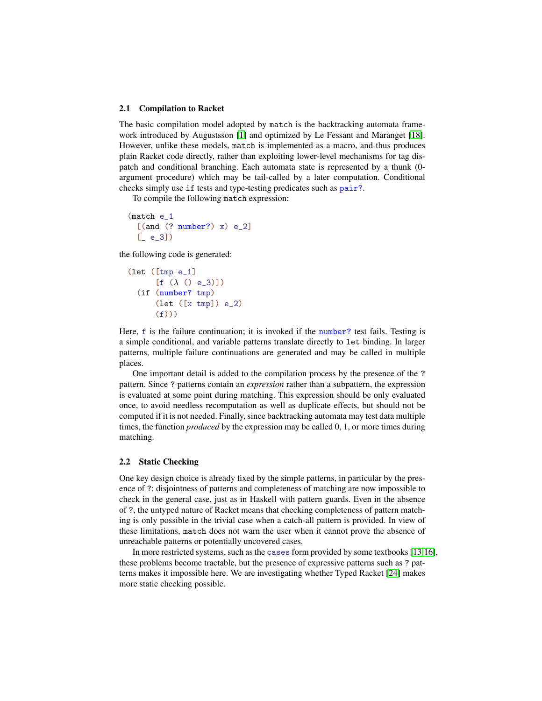#### 2.1 Compilation to Racket

The basic compilation model adopted by match is the backtracking automata framework introduced by Augustsson [\[1\]](#page-13-2) and optimized by Le Fessant and Maranget [\[18\]](#page-14-1). However, unlike these models, match is implemented as a macro, and thus produces plain Racket code directly, rather than exploiting lower-level mechanisms for tag dispatch and conditional branching. Each automata state is represented by a thunk (0 argument procedure) which may be tail-called by a later computation. Conditional checks simply use if tests and type-testing predicates such as pair?.

To compile the following match expression:

```
(match e_1
 [(and (? number?) x) e_2][-e_3]
```
the following code is generated:

```
(let ([tmp e_1]
      [f (\lambda () e_3)](if (number? tmp)
      (let ([x tmp]) e_2)
      (f))
```
Here, f is the failure continuation; it is invoked if the number? test fails. Testing is a simple conditional, and variable patterns translate directly to let binding. In larger patterns, multiple failure continuations are generated and may be called in multiple places.

One important detail is added to the compilation process by the presence of the ? pattern. Since ? patterns contain an *expression* rather than a subpattern, the expression is evaluated at some point during matching. This expression should be only evaluated once, to avoid needless recomputation as well as duplicate effects, but should not be computed if it is not needed. Finally, since backtracking automata may test data multiple times, the function *produced* by the expression may be called 0, 1, or more times during matching.

### 2.2 Static Checking

One key design choice is already fixed by the simple patterns, in particular by the presence of ?: disjointness of patterns and completeness of matching are now impossible to check in the general case, just as in Haskell with pattern guards. Even in the absence of ?, the untyped nature of Racket means that checking completeness of pattern matching is only possible in the trivial case when a catch-all pattern is provided. In view of these limitations, match does not warn the user when it cannot prove the absence of unreachable patterns or potentially uncovered cases.

In more restricted systems, such as the cases form provided by some textbooks [\[13,](#page-14-2)[16\]](#page-14-3), these problems become tractable, but the presence of expressive patterns such as ? patterns makes it impossible here. We are investigating whether Typed Racket [\[24\]](#page-14-4) makes more static checking possible.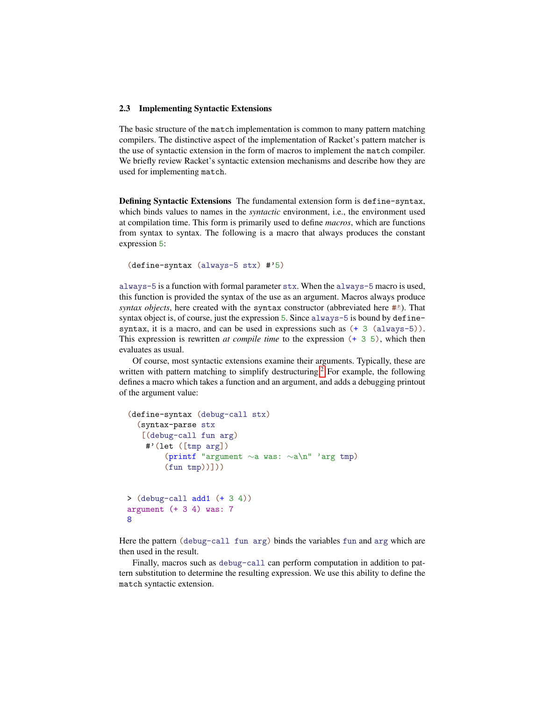### 2.3 Implementing Syntactic Extensions

The basic structure of the match implementation is common to many pattern matching compilers. The distinctive aspect of the implementation of Racket's pattern matcher is the use of syntactic extension in the form of macros to implement the match compiler. We briefly review Racket's syntactic extension mechanisms and describe how they are used for implementing match.

Defining Syntactic Extensions The fundamental extension form is define-syntax, which binds values to names in the *syntactic* environment, i.e., the environment used at compilation time. This form is primarily used to define *macros*, which are functions from syntax to syntax. The following is a macro that always produces the constant expression 5:

```
(define-syntax (always-5 stx) #'5)
```
always-5 is a function with formal parameter stx. When the always-5 macro is used, this function is provided the syntax of the use as an argument. Macros always produce *syntax objects*, here created with the syntax constructor (abbreviated here  $\#$ <sup>3</sup>). That syntax object is, of course, just the expression 5. Since always-5 is bound by definesyntax, it is a macro, and can be used in expressions such as  $(+ 3 \text{ (always-5)}).$ This expression is rewritten *at compile time* to the expression (+ 3 5), which then evaluates as usual.

Of course, most syntactic extensions examine their arguments. Typically, these are written with pattern matching to simplify destructuring.<sup>[2](#page-5-0)</sup> For example, the following defines a macro which takes a function and an argument, and adds a debugging printout of the argument value:

```
(define-syntax (debug-call stx)
  (syntax-parse stx
   [(debug-call fun arg)
    \sharp'(let ([tmp arg])
        (printf "argument ∼a was: ∼a\n" 'arg tmp)
        (fun \ttmp))))
\geq (debug-call add1 (+ 3 4))
argument (+ 3 4) was: 7
8
```
Here the pattern (debug-call fun arg) binds the variables fun and arg which are then used in the result.

Finally, macros such as debug-call can perform computation in addition to pattern substitution to determine the resulting expression. We use this ability to define the match syntactic extension.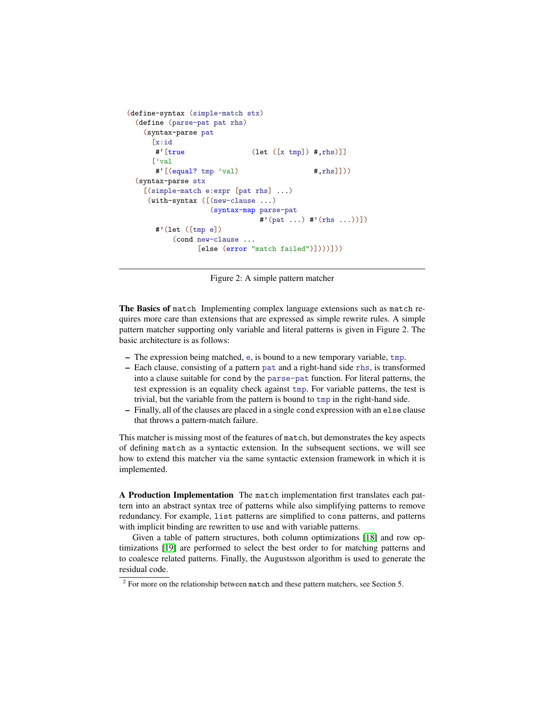```
(define-syntax (simple-match stx)
  (define (parse-pat pat rhs)
    (syntax-parse pat
      [x:id
      \#<sup>'</sup>[true (let ([x tmp]) \#, rhs)]]
      ['val
      \#<sup>'</sup>[(equal? tmp 'val) \#, rhs]]))
  (syntax-parse stx
    [(simple-match e:expr [pat rhs] ...)
     (with-syntax ([(new-clause ...)
                    (syntax-map parse-pat
                                #'(pat ...) #'(rhs ...))])
       #'(let ([tmp e])
           (cond new-clause ...
                 [else (error "match failed")])))]))
```
Figure 2: A simple pattern matcher

The Basics of match Implementing complex language extensions such as match requires more care than extensions that are expressed as simple rewrite rules. A simple pattern matcher supporting only variable and literal patterns is given in Figure 2. The basic architecture is as follows:

- The expression being matched, e, is bound to a new temporary variable, tmp.
- Each clause, consisting of a pattern pat and a right-hand side rhs, is transformed into a clause suitable for cond by the parse-pat function. For literal patterns, the test expression is an equality check against tmp. For variable patterns, the test is trivial, but the variable from the pattern is bound to tmp in the right-hand side.
- Finally, all of the clauses are placed in a single cond expression with an else clause that throws a pattern-match failure.

This matcher is missing most of the features of match, but demonstrates the key aspects of defining match as a syntactic extension. In the subsequent sections, we will see how to extend this matcher via the same syntactic extension framework in which it is implemented.

A Production Implementation The match implementation first translates each pattern into an abstract syntax tree of patterns while also simplifying patterns to remove redundancy. For example, list patterns are simplified to cons patterns, and patterns with implicit binding are rewritten to use and with variable patterns.

Given a table of pattern structures, both column optimizations [\[18\]](#page-14-1) and row optimizations [\[19\]](#page-14-5) are performed to select the best order to for matching patterns and to coalesce related patterns. Finally, the Augustsson algorithm is used to generate the residual code.

<span id="page-5-0"></span> $2^2$  For more on the relationship between match and these pattern matchers, see Section 5.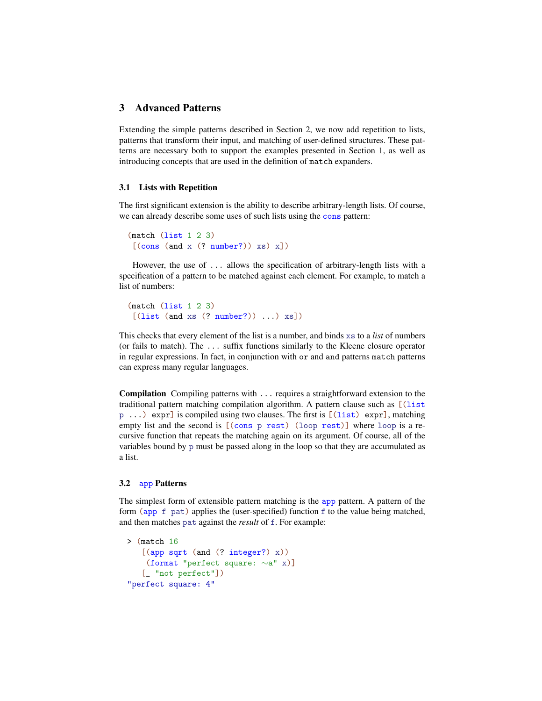## 3 Advanced Patterns

Extending the simple patterns described in Section 2, we now add repetition to lists, patterns that transform their input, and matching of user-defined structures. These patterns are necessary both to support the examples presented in Section 1, as well as introducing concepts that are used in the definition of match expanders.

### 3.1 Lists with Repetition

The first significant extension is the ability to describe arbitrary-length lists. Of course, we can already describe some uses of such lists using the cons pattern:

```
(match (list 1 2 3)
[(cons (and x (? number?)) xs) x])
```
However, the use of ... allows the specification of arbitrary-length lists with a specification of a pattern to be matched against each element. For example, to match a list of numbers:

```
(match (list 1 2 3)
[(list (and xs (? number?)) ...) xs])
```
This checks that every element of the list is a number, and binds xs to a *list* of numbers (or fails to match). The ... suffix functions similarly to the Kleene closure operator in regular expressions. In fact, in conjunction with or and and patterns match patterns can express many regular languages.

Compilation Compiling patterns with ... requires a straightforward extension to the traditional pattern matching compilation algorithm. A pattern clause such as [(list  $p \ldots$ ) expr] is compiled using two clauses. The first is  $[(\text{list}) \text{ expr}]$ , matching empty list and the second is  $[(\text{cons } p \text{ rest}) (\text{loop rest})]$  where loop is a recursive function that repeats the matching again on its argument. Of course, all of the variables bound by p must be passed along in the loop so that they are accumulated as a list.

### 3.2 app Patterns

The simplest form of extensible pattern matching is the app pattern. A pattern of the form (app f pat) applies the (user-specified) function f to the value being matched, and then matches pat against the *result* of f. For example:

```
> (match 16
   [(app sqrt (and (? integer?) x))
   (format "perfect square: ∼a" x)]
   [_ "not perfect"])
"perfect square: 4"
```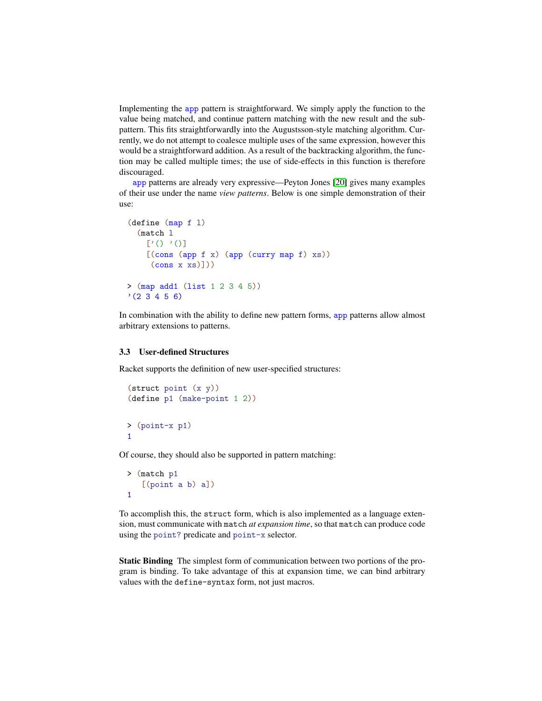Implementing the app pattern is straightforward. We simply apply the function to the value being matched, and continue pattern matching with the new result and the subpattern. This fits straightforwardly into the Augustsson-style matching algorithm. Currently, we do not attempt to coalesce multiple uses of the same expression, however this would be a straightforward addition. As a result of the backtracking algorithm, the function may be called multiple times; the use of side-effects in this function is therefore discouraged.

app patterns are already very expressive—Peyton Jones [\[20\]](#page-14-6) gives many examples of their use under the name *view patterns*. Below is one simple demonstration of their use:

```
(define (map f l)
  (match l
     ['() '()]
    [(cons (app f x) (app (curry map f) xs))\frac{\text{(cons x xs)}}{\text{}}> (map add1 (list 1 2 3 4 5))
'(2 3 4 5 6)
```
In combination with the ability to define new pattern forms, app patterns allow almost arbitrary extensions to patterns.

#### 3.3 User-defined Structures

Racket supports the definition of new user-specified structures:

```
(struct point (x y))
(define p1 (make-point 1 2))
> (point-x p1)
1
```
Of course, they should also be supported in pattern matching:

```
> (match p1
   [(point a b) a])
1
```
To accomplish this, the struct form, which is also implemented as a language extension, must communicate with match *at expansion time*, so that match can produce code using the point? predicate and point-x selector.

Static Binding The simplest form of communication between two portions of the program is binding. To take advantage of this at expansion time, we can bind arbitrary values with the define-syntax form, not just macros.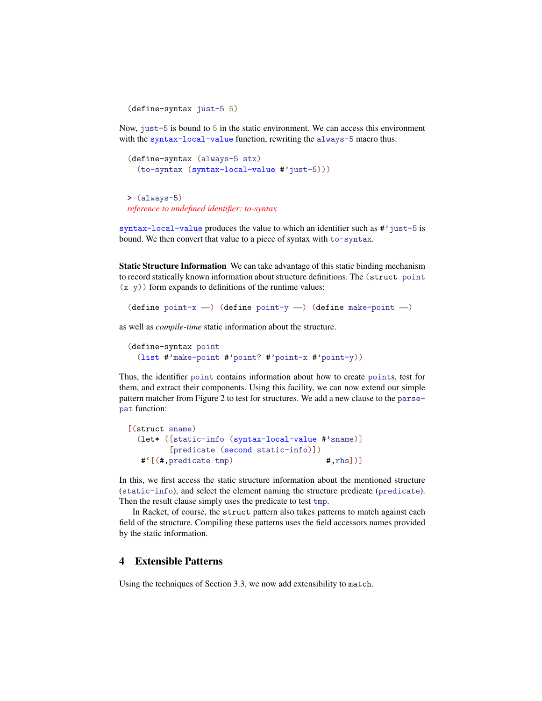```
(define-syntax just-5 5)
```
Now, just-5 is bound to 5 in the static environment. We can access this environment with the syntax-local-value function, rewriting the always-5 macro thus:

```
(define-syntax (always-5 stx)
  (to-syntax (syntax-local-value #'just-5)))
```
> (always-5) *reference to undefined identifier: to-syntax*

syntax-local-value produces the value to which an identifier such as #'just-5 is bound. We then convert that value to a piece of syntax with to-syntax.

Static Structure Information We can take advantage of this static binding mechanism to record statically known information about structure definitions. The (struct point  $(x, y)$  form expands to definitions of the runtime values:

```
(define point-x -) (define point-y -) (define make-point -)
```
as well as *compile-time* static information about the structure.

```
(define-syntax point
  (list #'make-point #'point? #'point-x #'point-y))
```
Thus, the identifier point contains information about how to create points, test for them, and extract their components. Using this facility, we can now extend our simple pattern matcher from Figure 2 to test for structures. We add a new clause to the parsepat function:

```
[(struct sname)
 (let* ([static-info (syntax-local-value #'sname)]
        [predicate (second static-info)])
  #'[(#,predicate tmp) #,rhs])]
```
In this, we first access the static structure information about the mentioned structure (static-info), and select the element naming the structure predicate (predicate). Then the result clause simply uses the predicate to test tmp.

In Racket, of course, the struct pattern also takes patterns to match against each field of the structure. Compiling these patterns uses the field accessors names provided by the static information.

## 4 Extensible Patterns

Using the techniques of Section 3.3, we now add extensibility to match.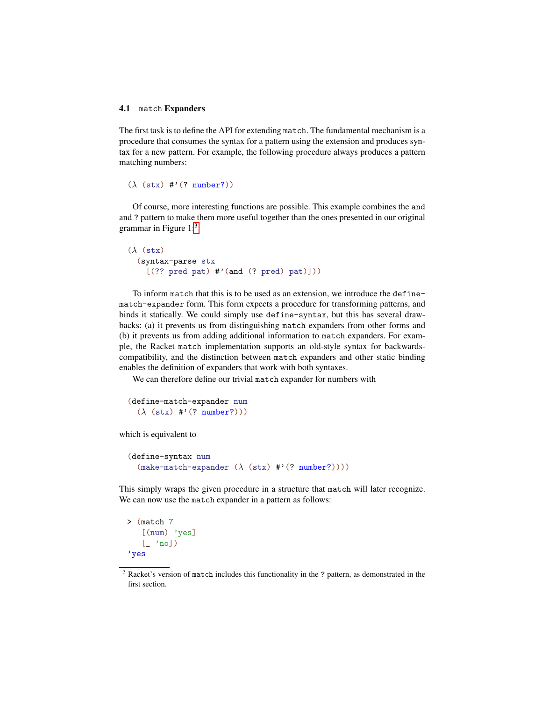### 4.1 match Expanders

The first task is to define the API for extending match. The fundamental mechanism is a procedure that consumes the syntax for a pattern using the extension and produces syntax for a new pattern. For example, the following procedure always produces a pattern matching numbers:

```
(\lambda (stx) #'(? number?))
```
Of course, more interesting functions are possible. This example combines the and and ? pattern to make them more useful together than the ones presented in our original grammar in Figure  $1$ :<sup>[3](#page-9-0)</sup>

```
(\lambda)(\text{stx})(syntax-parse stx
     [(?? \text{ pred pat}) #'(and (? \text{ pred}) pat)]
```
To inform match that this is to be used as an extension, we introduce the definematch-expander form. This form expects a procedure for transforming patterns, and binds it statically. We could simply use define-syntax, but this has several drawbacks: (a) it prevents us from distinguishing match expanders from other forms and (b) it prevents us from adding additional information to match expanders. For example, the Racket match implementation supports an old-style syntax for backwardscompatibility, and the distinction between match expanders and other static binding enables the definition of expanders that work with both syntaxes.

We can therefore define our trivial match expander for numbers with

```
(define-match-expander num
  (\lambda (stx) #'(? number?)))
```
which is equivalent to

```
(define-syntax num
  (make-match-expander (\lambda (stx) #'(? number?))))
```
This simply wraps the given procedure in a structure that match will later recognize. We can now use the match expander in a pattern as follows:

```
> (match 7
   [(num) 'yes]
   [- 'no])
'yes
```
<span id="page-9-0"></span><sup>&</sup>lt;sup>3</sup> Racket's version of match includes this functionality in the ? pattern, as demonstrated in the first section.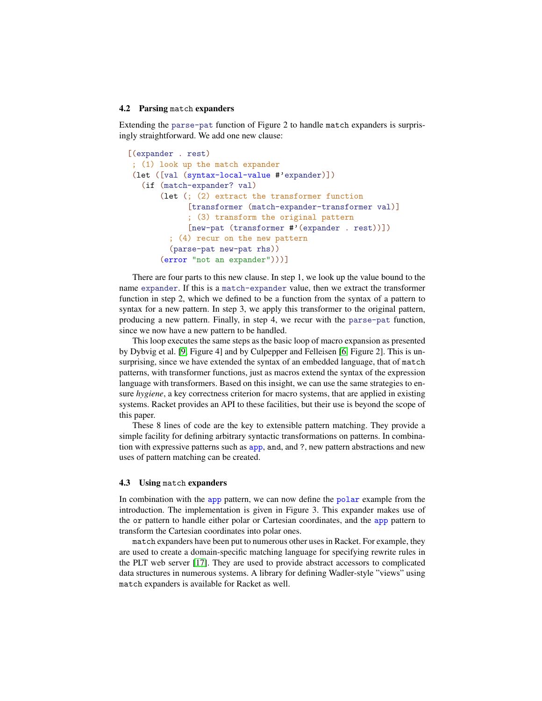#### 4.2 Parsing match expanders

Extending the parse-pat function of Figure 2 to handle match expanders is surprisingly straightforward. We add one new clause:

```
[(expander . rest)
; (1) look up the match expander
(let ([val (syntax-local-value #'expander)])
  (if (match-expander? val)
       (let (; (2) extract the transformer function
            [transformer (match-expander-transformer val)]
             ; (3) transform the original pattern
             [new-pat (transformer #'(expander . rest))])
         ; (4) recur on the new pattern
         (parse-pat new-pat rhs))
       (error "not an expander")))]
```
There are four parts to this new clause. In step 1, we look up the value bound to the name expander. If this is a match-expander value, then we extract the transformer function in step 2, which we defined to be a function from the syntax of a pattern to syntax for a new pattern. In step 3, we apply this transformer to the original pattern, producing a new pattern. Finally, in step 4, we recur with the parse-pat function, since we now have a new pattern to be handled.

This loop executes the same steps as the basic loop of macro expansion as presented by Dybvig et al. [\[9,](#page-13-0) Figure 4] and by Culpepper and Felleisen [\[6,](#page-13-3) Figure 2]. This is unsurprising, since we have extended the syntax of an embedded language, that of match patterns, with transformer functions, just as macros extend the syntax of the expression language with transformers. Based on this insight, we can use the same strategies to ensure *hygiene*, a key correctness criterion for macro systems, that are applied in existing systems. Racket provides an API to these facilities, but their use is beyond the scope of this paper.

These 8 lines of code are the key to extensible pattern matching. They provide a simple facility for defining arbitrary syntactic transformations on patterns. In combination with expressive patterns such as app, and, and ?, new pattern abstractions and new uses of pattern matching can be created.

### 4.3 Using match expanders

In combination with the app pattern, we can now define the polar example from the introduction. The implementation is given in Figure 3. This expander makes use of the or pattern to handle either polar or Cartesian coordinates, and the app pattern to transform the Cartesian coordinates into polar ones.

match expanders have been put to numerous other uses in Racket. For example, they are used to create a domain-specific matching language for specifying rewrite rules in the PLT web server [\[17\]](#page-14-7). They are used to provide abstract accessors to complicated data structures in numerous systems. A library for defining Wadler-style "views" using match expanders is available for Racket as well.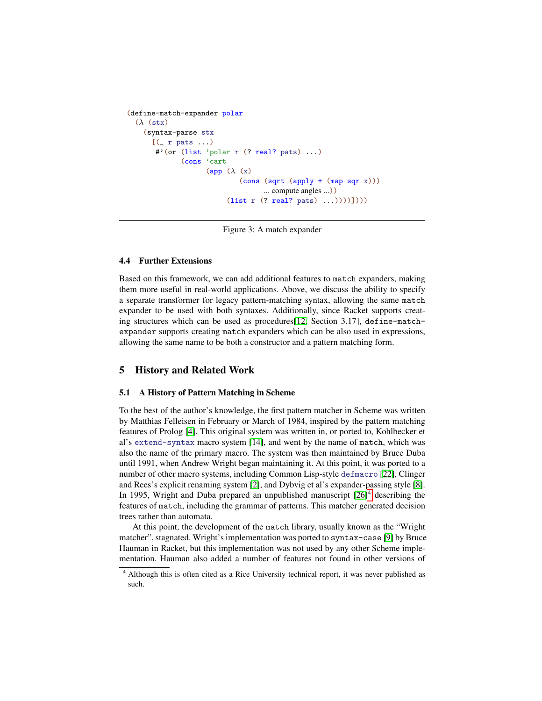```
(define-match-expander polar
  (\lambda)(\text{stx})(syntax-parse stx
      [(r pats ...)
       #'(or (list 'polar r (? real? pats) ...)
              (cons 'cart
                     (app (\lambda(x))(cons (sqrt (apply + (map sqr x)))
                                    ... compute angles ...))
                           (list r (? real? pats) ...))))))
```
Figure 3: A match expander

### 4.4 Further Extensions

Based on this framework, we can add additional features to match expanders, making them more useful in real-world applications. Above, we discuss the ability to specify a separate transformer for legacy pattern-matching syntax, allowing the same match expander to be used with both syntaxes. Additionally, since Racket supports creating structures which can be used as procedures[\[12,](#page-14-0) Section 3.17], define-matchexpander supports creating match expanders which can be also used in expressions, allowing the same name to be both a constructor and a pattern matching form.

## 5 History and Related Work

### 5.1 A History of Pattern Matching in Scheme

To the best of the author's knowledge, the first pattern matcher in Scheme was written by Matthias Felleisen in February or March of 1984, inspired by the pattern matching features of Prolog [\[4\]](#page-13-4). This original system was written in, or ported to, Kohlbecker et al's extend-syntax macro system [\[14\]](#page-14-8), and went by the name of match, which was also the name of the primary macro. The system was then maintained by Bruce Duba until 1991, when Andrew Wright began maintaining it. At this point, it was ported to a number of other macro systems, including Common Lisp-style defmacro [\[22\]](#page-14-9), Clinger and Rees's explicit renaming system [\[2\]](#page-13-5), and Dybvig et al's expander-passing style [\[8\]](#page-13-6). In 1995, Wright and Duba prepared an unpublished manuscript  $[26]$ <sup>[4](#page-11-0)</sup> describing the features of match, including the grammar of patterns. This matcher generated decision trees rather than automata.

At this point, the development of the match library, usually known as the "Wright matcher", stagnated. Wright's implementation was ported to syntax-case [\[9\]](#page-13-0) by Bruce Hauman in Racket, but this implementation was not used by any other Scheme implementation. Hauman also added a number of features not found in other versions of

<span id="page-11-0"></span><sup>4</sup> Although this is often cited as a Rice University technical report, it was never published as such.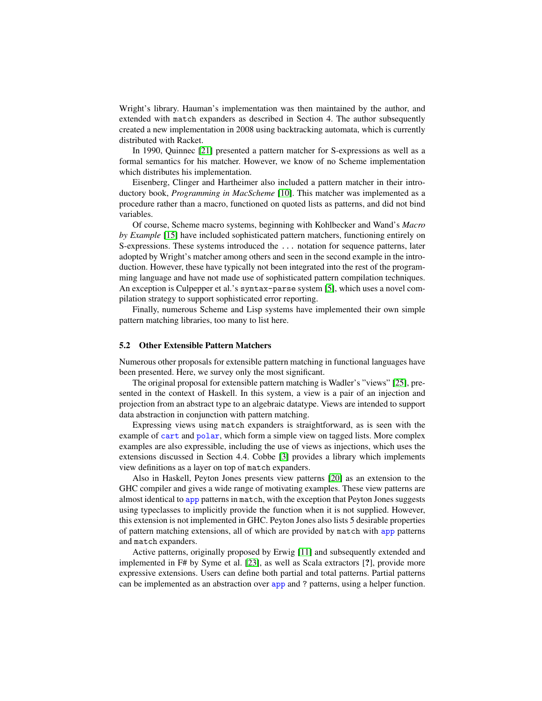Wright's library. Hauman's implementation was then maintained by the author, and extended with match expanders as described in Section 4. The author subsequently created a new implementation in 2008 using backtracking automata, which is currently distributed with Racket.

In 1990, Quinnec [\[21\]](#page-14-11) presented a pattern matcher for S-expressions as well as a formal semantics for his matcher. However, we know of no Scheme implementation which distributes his implementation.

Eisenberg, Clinger and Hartheimer also included a pattern matcher in their introductory book, *Programming in MacScheme* [\[10\]](#page-14-12). This matcher was implemented as a procedure rather than a macro, functioned on quoted lists as patterns, and did not bind variables.

Of course, Scheme macro systems, beginning with Kohlbecker and Wand's *Macro by Example* [\[15\]](#page-14-13) have included sophisticated pattern matchers, functioning entirely on S-expressions. These systems introduced the ... notation for sequence patterns, later adopted by Wright's matcher among others and seen in the second example in the introduction. However, these have typically not been integrated into the rest of the programming language and have not made use of sophisticated pattern compilation techniques. An exception is Culpepper et al.'s syntax-parse system [\[5\]](#page-13-7), which uses a novel compilation strategy to support sophisticated error reporting.

Finally, numerous Scheme and Lisp systems have implemented their own simple pattern matching libraries, too many to list here.

### 5.2 Other Extensible Pattern Matchers

Numerous other proposals for extensible pattern matching in functional languages have been presented. Here, we survey only the most significant.

The original proposal for extensible pattern matching is Wadler's "views" [\[25\]](#page-14-14), presented in the context of Haskell. In this system, a view is a pair of an injection and projection from an abstract type to an algebraic datatype. Views are intended to support data abstraction in conjunction with pattern matching.

Expressing views using match expanders is straightforward, as is seen with the example of cart and polar, which form a simple view on tagged lists. More complex examples are also expressible, including the use of views as injections, which uses the extensions discussed in Section 4.4. Cobbe [\[3\]](#page-13-8) provides a library which implements view definitions as a layer on top of match expanders.

Also in Haskell, Peyton Jones presents view patterns [\[20\]](#page-14-6) as an extension to the GHC compiler and gives a wide range of motivating examples. These view patterns are almost identical to app patterns in match, with the exception that Peyton Jones suggests using typeclasses to implicitly provide the function when it is not supplied. However, this extension is not implemented in GHC. Peyton Jones also lists 5 desirable properties of pattern matching extensions, all of which are provided by match with app patterns and match expanders.

Active patterns, originally proposed by Erwig [\[11\]](#page-14-15) and subsequently extended and implemented in F# by Syme et al. [\[23\]](#page-14-16), as well as Scala extractors [?], provide more expressive extensions. Users can define both partial and total patterns. Partial patterns can be implemented as an abstraction over app and ? patterns, using a helper function.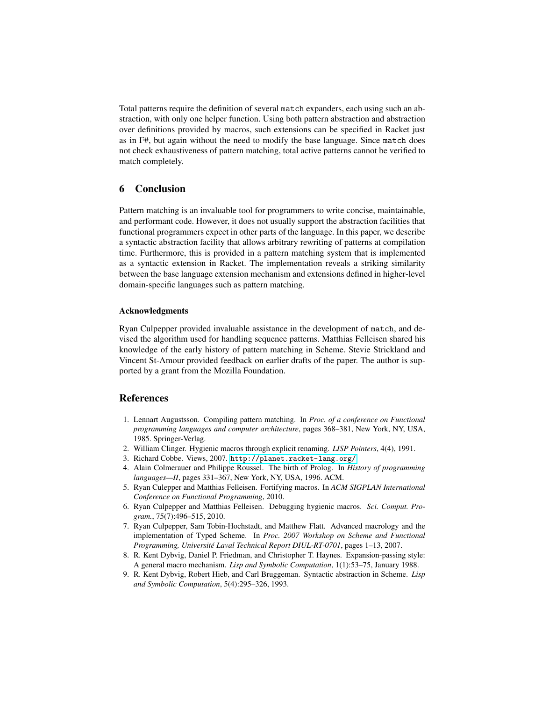Total patterns require the definition of several match expanders, each using such an abstraction, with only one helper function. Using both pattern abstraction and abstraction over definitions provided by macros, such extensions can be specified in Racket just as in F#, but again without the need to modify the base language. Since match does not check exhaustiveness of pattern matching, total active patterns cannot be verified to match completely.

## 6 Conclusion

Pattern matching is an invaluable tool for programmers to write concise, maintainable, and performant code. However, it does not usually support the abstraction facilities that functional programmers expect in other parts of the language. In this paper, we describe a syntactic abstraction facility that allows arbitrary rewriting of patterns at compilation time. Furthermore, this is provided in a pattern matching system that is implemented as a syntactic extension in Racket. The implementation reveals a striking similarity between the base language extension mechanism and extensions defined in higher-level domain-specific languages such as pattern matching.

### Acknowledgments

Ryan Culpepper provided invaluable assistance in the development of match, and devised the algorithm used for handling sequence patterns. Matthias Felleisen shared his knowledge of the early history of pattern matching in Scheme. Stevie Strickland and Vincent St-Amour provided feedback on earlier drafts of the paper. The author is supported by a grant from the Mozilla Foundation.

### References

- <span id="page-13-2"></span>1. Lennart Augustsson. Compiling pattern matching. In *Proc. of a conference on Functional programming languages and computer architecture*, pages 368–381, New York, NY, USA, 1985. Springer-Verlag.
- <span id="page-13-5"></span>2. William Clinger. Hygienic macros through explicit renaming. *LISP Pointers*, 4(4), 1991.
- <span id="page-13-8"></span>3. Richard Cobbe. Views, 2007. <http://planet.racket-lang.org/>.
- <span id="page-13-4"></span>4. Alain Colmerauer and Philippe Roussel. The birth of Prolog. In *History of programming languages—II*, pages 331–367, New York, NY, USA, 1996. ACM.
- <span id="page-13-7"></span>5. Ryan Culepper and Matthias Felleisen. Fortifying macros. In *ACM SIGPLAN International Conference on Functional Programming*, 2010.
- <span id="page-13-3"></span>6. Ryan Culpepper and Matthias Felleisen. Debugging hygienic macros. *Sci. Comput. Program.*, 75(7):496–515, 2010.
- <span id="page-13-1"></span>7. Ryan Culpepper, Sam Tobin-Hochstadt, and Matthew Flatt. Advanced macrology and the implementation of Typed Scheme. In *Proc. 2007 Workshop on Scheme and Functional Programming, Universite Laval Technical Report DIUL-RT-0701 ´* , pages 1–13, 2007.
- <span id="page-13-6"></span>8. R. Kent Dybvig, Daniel P. Friedman, and Christopher T. Haynes. Expansion-passing style: A general macro mechanism. *Lisp and Symbolic Computation*, 1(1):53–75, January 1988.
- <span id="page-13-0"></span>9. R. Kent Dybvig, Robert Hieb, and Carl Bruggeman. Syntactic abstraction in Scheme. *Lisp and Symbolic Computation*, 5(4):295–326, 1993.